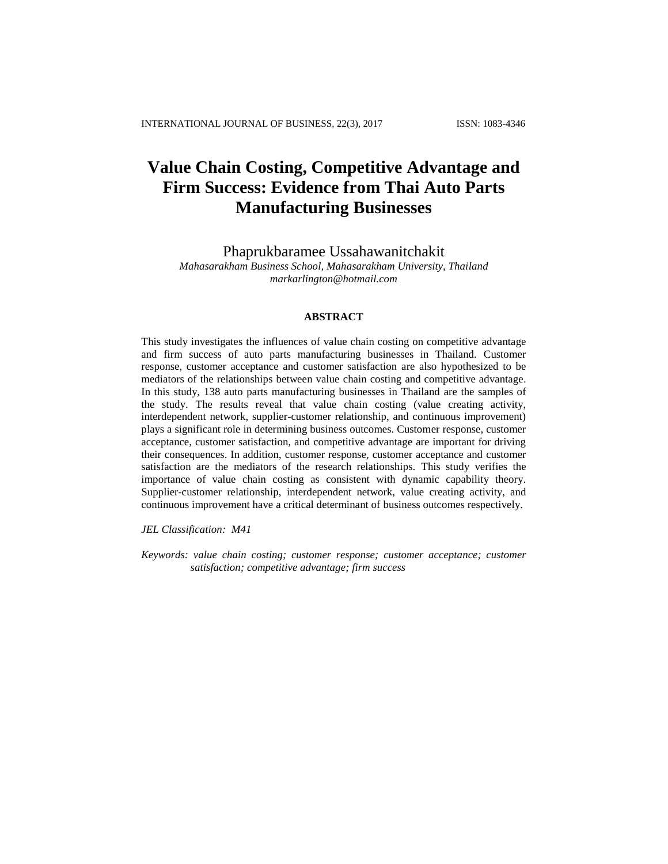# **Value Chain Costing, Competitive Advantage and Firm Success: Evidence from Thai Auto Parts Manufacturing Businesses**

Phaprukbaramee Ussahawanitchakit

*Mahasarakham Business School, Mahasarakham University, Thailand markarlington@hotmail.com*

## **ABSTRACT**

This study investigates the influences of value chain costing on competitive advantage and firm success of auto parts manufacturing businesses in Thailand. Customer response, customer acceptance and customer satisfaction are also hypothesized to be mediators of the relationships between value chain costing and competitive advantage. In this study, 138 auto parts manufacturing businesses in Thailand are the samples of the study. The results reveal that value chain costing (value creating activity, interdependent network, supplier-customer relationship, and continuous improvement) plays a significant role in determining business outcomes. Customer response, customer acceptance, customer satisfaction, and competitive advantage are important for driving their consequences. In addition, customer response, customer acceptance and customer satisfaction are the mediators of the research relationships. This study verifies the importance of value chain costing as consistent with dynamic capability theory. Supplier-customer relationship, interdependent network, value creating activity, and continuous improvement have a critical determinant of business outcomes respectively.

*JEL Classification: M41*

*Keywords: value chain costing; customer response; customer acceptance; customer satisfaction; competitive advantage; firm success*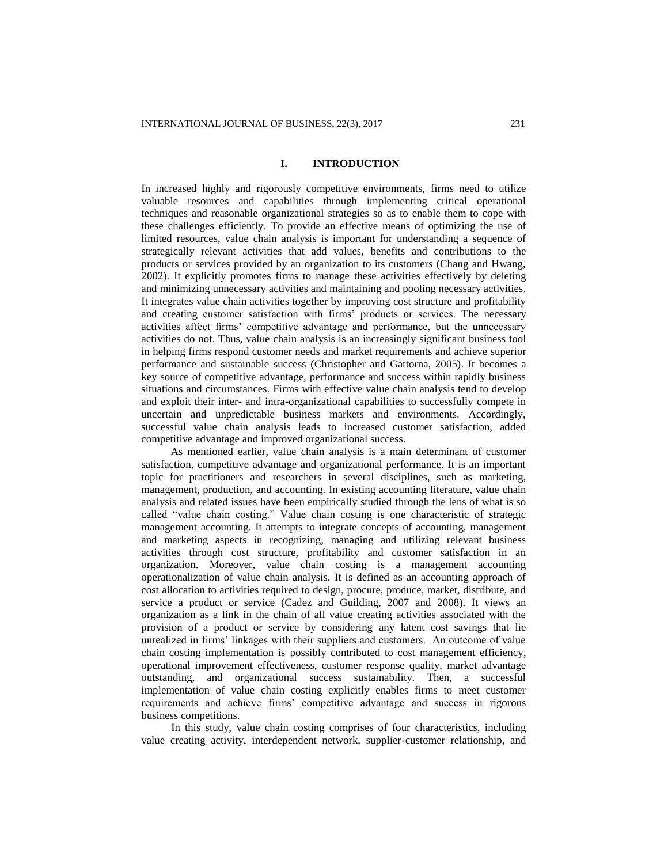# **I. INTRODUCTION**

In increased highly and rigorously competitive environments, firms need to utilize valuable resources and capabilities through implementing critical operational techniques and reasonable organizational strategies so as to enable them to cope with these challenges efficiently. To provide an effective means of optimizing the use of limited resources, value chain analysis is important for understanding a sequence of strategically relevant activities that add values, benefits and contributions to the products or services provided by an organization to its customers (Chang and Hwang, 2002). It explicitly promotes firms to manage these activities effectively by deleting and minimizing unnecessary activities and maintaining and pooling necessary activities. It integrates value chain activities together by improving cost structure and profitability and creating customer satisfaction with firms' products or services. The necessary activities affect firms' competitive advantage and performance, but the unnecessary activities do not. Thus, value chain analysis is an increasingly significant business tool in helping firms respond customer needs and market requirements and achieve superior performance and sustainable success (Christopher and Gattorna, 2005). It becomes a key source of competitive advantage, performance and success within rapidly business situations and circumstances. Firms with effective value chain analysis tend to develop and exploit their inter- and intra-organizational capabilities to successfully compete in uncertain and unpredictable business markets and environments. Accordingly, successful value chain analysis leads to increased customer satisfaction, added competitive advantage and improved organizational success.

As mentioned earlier, value chain analysis is a main determinant of customer satisfaction, competitive advantage and organizational performance. It is an important topic for practitioners and researchers in several disciplines, such as marketing, management, production, and accounting. In existing accounting literature, value chain analysis and related issues have been empirically studied through the lens of what is so called "value chain costing." Value chain costing is one characteristic of strategic management accounting. It attempts to integrate concepts of accounting, management and marketing aspects in recognizing, managing and utilizing relevant business activities through cost structure, profitability and customer satisfaction in an organization. Moreover, value chain costing is a management accounting operationalization of value chain analysis. It is defined as an accounting approach of cost allocation to activities required to design, procure, produce, market, distribute, and service a product or service (Cadez and Guilding, 2007 and 2008). It views an organization as a link in the chain of all value creating activities associated with the provision of a product or service by considering any latent cost savings that lie unrealized in firms' linkages with their suppliers and customers. An outcome of value chain costing implementation is possibly contributed to cost management efficiency, operational improvement effectiveness, customer response quality, market advantage outstanding, and organizational success sustainability. Then, a successful implementation of value chain costing explicitly enables firms to meet customer requirements and achieve firms' competitive advantage and success in rigorous business competitions.

In this study, value chain costing comprises of four characteristics, including value creating activity, interdependent network, supplier-customer relationship, and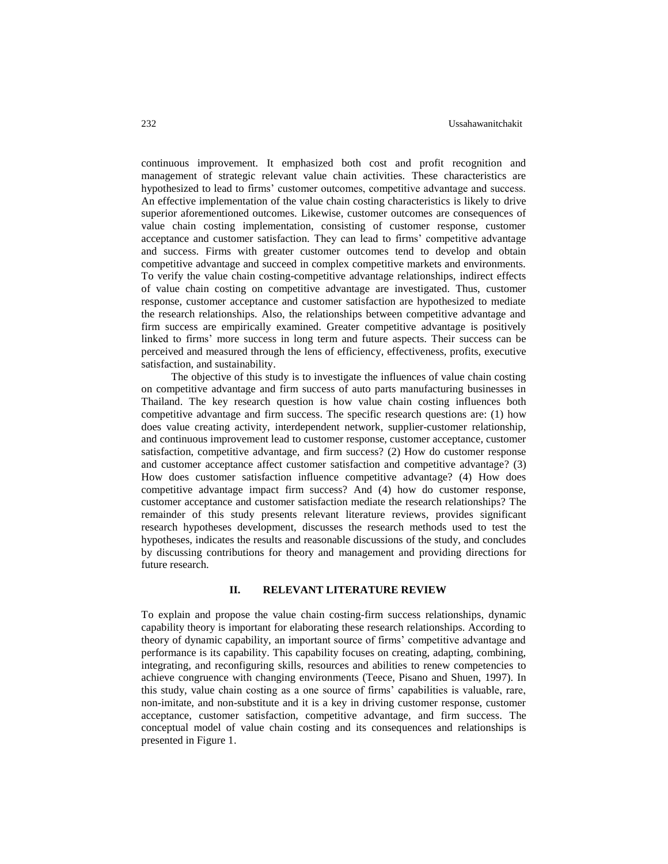continuous improvement. It emphasized both cost and profit recognition and management of strategic relevant value chain activities. These characteristics are hypothesized to lead to firms' customer outcomes, competitive advantage and success. An effective implementation of the value chain costing characteristics is likely to drive superior aforementioned outcomes. Likewise, customer outcomes are consequences of value chain costing implementation, consisting of customer response, customer acceptance and customer satisfaction. They can lead to firms' competitive advantage and success. Firms with greater customer outcomes tend to develop and obtain competitive advantage and succeed in complex competitive markets and environments. To verify the value chain costing-competitive advantage relationships, indirect effects of value chain costing on competitive advantage are investigated. Thus, customer response, customer acceptance and customer satisfaction are hypothesized to mediate the research relationships. Also, the relationships between competitive advantage and firm success are empirically examined. Greater competitive advantage is positively linked to firms' more success in long term and future aspects. Their success can be perceived and measured through the lens of efficiency, effectiveness, profits, executive satisfaction, and sustainability.

The objective of this study is to investigate the influences of value chain costing on competitive advantage and firm success of auto parts manufacturing businesses in Thailand. The key research question is how value chain costing influences both competitive advantage and firm success. The specific research questions are: (1) how does value creating activity, interdependent network, supplier-customer relationship, and continuous improvement lead to customer response, customer acceptance, customer satisfaction, competitive advantage, and firm success? (2) How do customer response and customer acceptance affect customer satisfaction and competitive advantage? (3) How does customer satisfaction influence competitive advantage? (4) How does competitive advantage impact firm success? And (4) how do customer response, customer acceptance and customer satisfaction mediate the research relationships? The remainder of this study presents relevant literature reviews, provides significant research hypotheses development, discusses the research methods used to test the hypotheses, indicates the results and reasonable discussions of the study, and concludes by discussing contributions for theory and management and providing directions for future research.

#### **II. RELEVANT LITERATURE REVIEW**

To explain and propose the value chain costing-firm success relationships, dynamic capability theory is important for elaborating these research relationships. According to theory of dynamic capability, an important source of firms' competitive advantage and performance is its capability. This capability focuses on creating, adapting, combining, integrating, and reconfiguring skills, resources and abilities to renew competencies to achieve congruence with changing environments (Teece, Pisano and Shuen, 1997). In this study, value chain costing as a one source of firms' capabilities is valuable, rare, non-imitate, and non-substitute and it is a key in driving customer response, customer acceptance, customer satisfaction, competitive advantage, and firm success. The conceptual model of value chain costing and its consequences and relationships is presented in Figure 1.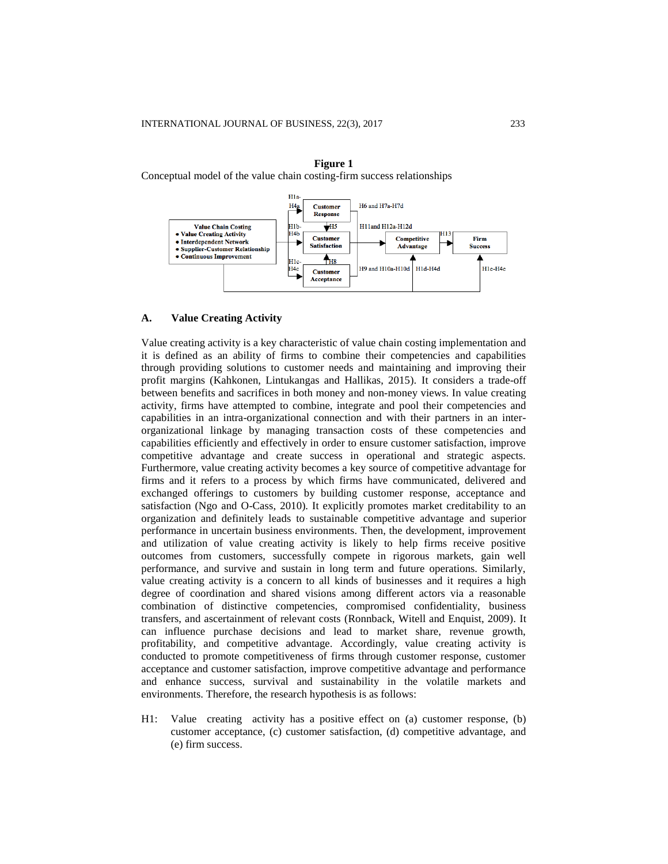

**Figure 1** Conceptual model of the value chain costing-firm success relationships

## **A. Value Creating Activity**

Value creating activity is a key characteristic of value chain costing implementation and it is defined as an ability of firms to combine their competencies and capabilities through providing solutions to customer needs and maintaining and improving their profit margins (Kahkonen, Lintukangas and Hallikas, 2015). It considers a trade-off between benefits and sacrifices in both money and non-money views. In value creating activity, firms have attempted to combine, integrate and pool their competencies and capabilities in an intra-organizational connection and with their partners in an interorganizational linkage by managing transaction costs of these competencies and capabilities efficiently and effectively in order to ensure customer satisfaction, improve competitive advantage and create success in operational and strategic aspects. Furthermore, value creating activity becomes a key source of competitive advantage for firms and it refers to a process by which firms have communicated, delivered and exchanged offerings to customers by building customer response, acceptance and satisfaction (Ngo and O-Cass, 2010). It explicitly promotes market creditability to an organization and definitely leads to sustainable competitive advantage and superior performance in uncertain business environments. Then, the development, improvement and utilization of value creating activity is likely to help firms receive positive outcomes from customers, successfully compete in rigorous markets, gain well performance, and survive and sustain in long term and future operations. Similarly, value creating activity is a concern to all kinds of businesses and it requires a high degree of coordination and shared visions among different actors via a reasonable combination of distinctive competencies, compromised confidentiality, business transfers, and ascertainment of relevant costs (Ronnback, Witell and Enquist, 2009). It can influence purchase decisions and lead to market share, revenue growth, profitability, and competitive advantage. Accordingly, value creating activity is conducted to promote competitiveness of firms through customer response, customer acceptance and customer satisfaction, improve competitive advantage and performance and enhance success, survival and sustainability in the volatile markets and environments. Therefore, the research hypothesis is as follows:

H1: Value creating activity has a positive effect on (a) customer response, (b) customer acceptance, (c) customer satisfaction, (d) competitive advantage, and (e) firm success.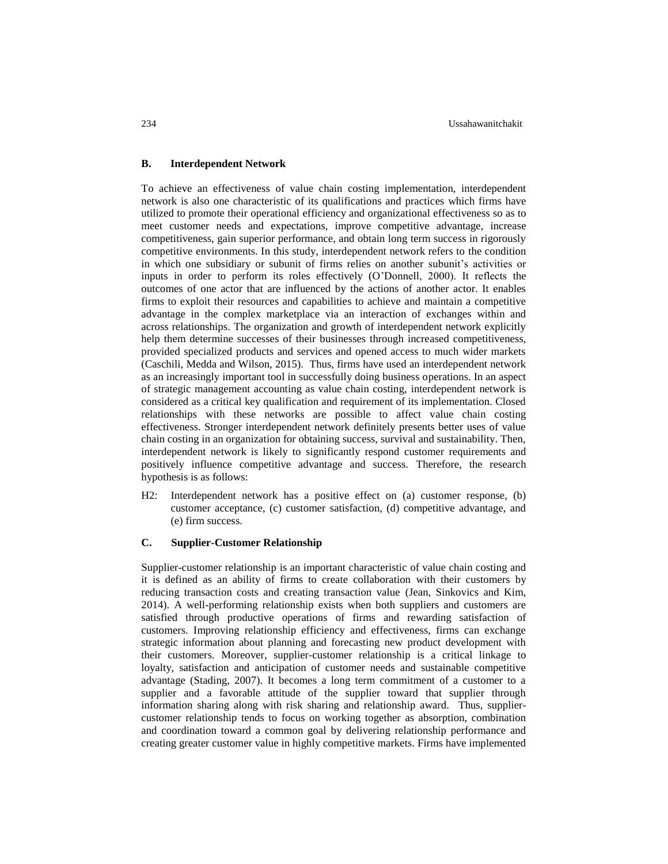# **B. Interdependent Network**

To achieve an effectiveness of value chain costing implementation, interdependent network is also one characteristic of its qualifications and practices which firms have utilized to promote their operational efficiency and organizational effectiveness so as to meet customer needs and expectations, improve competitive advantage, increase competitiveness, gain superior performance, and obtain long term success in rigorously competitive environments. In this study, interdependent network refers to the condition in which one subsidiary or subunit of firms relies on another subunit's activities or inputs in order to perform its roles effectively (O'Donnell, 2000). It reflects the outcomes of one actor that are influenced by the actions of another actor. It enables firms to exploit their resources and capabilities to achieve and maintain a competitive advantage in the complex marketplace via an interaction of exchanges within and across relationships. The organization and growth of interdependent network explicitly help them determine successes of their businesses through increased competitiveness, provided specialized products and services and opened access to much wider markets (Caschili, Medda and Wilson, 2015). Thus, firms have used an interdependent network as an increasingly important tool in successfully doing business operations. In an aspect of strategic management accounting as value chain costing, interdependent network is considered as a critical key qualification and requirement of its implementation. Closed relationships with these networks are possible to affect value chain costing effectiveness. Stronger interdependent network definitely presents better uses of value chain costing in an organization for obtaining success, survival and sustainability. Then, interdependent network is likely to significantly respond customer requirements and positively influence competitive advantage and success. Therefore, the research hypothesis is as follows:

H2: Interdependent network has a positive effect on (a) customer response, (b) customer acceptance, (c) customer satisfaction, (d) competitive advantage, and (e) firm success.

## **C. Supplier-Customer Relationship**

Supplier-customer relationship is an important characteristic of value chain costing and it is defined as an ability of firms to create collaboration with their customers by reducing transaction costs and creating transaction value (Jean, Sinkovics and Kim, 2014). A well-performing relationship exists when both suppliers and customers are satisfied through productive operations of firms and rewarding satisfaction of customers. Improving relationship efficiency and effectiveness, firms can exchange strategic information about planning and forecasting new product development with their customers. Moreover, supplier-customer relationship is a critical linkage to loyalty, satisfaction and anticipation of customer needs and sustainable competitive advantage (Stading, 2007). It becomes a long term commitment of a customer to a supplier and a favorable attitude of the supplier toward that supplier through information sharing along with risk sharing and relationship award. Thus, suppliercustomer relationship tends to focus on working together as absorption, combination and coordination toward a common goal by delivering relationship performance and creating greater customer value in highly competitive markets. Firms have implemented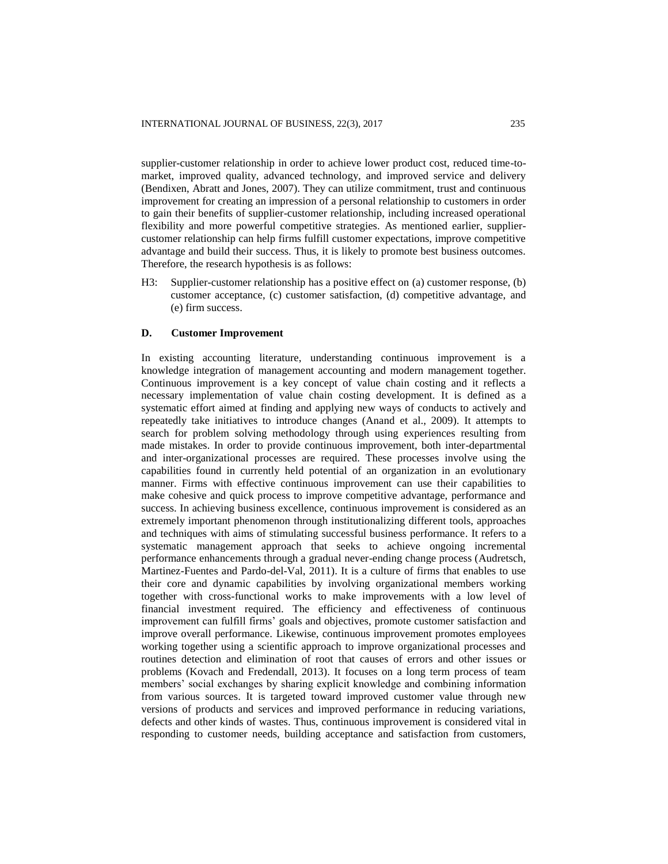supplier-customer relationship in order to achieve lower product cost, reduced time-tomarket, improved quality, advanced technology, and improved service and delivery (Bendixen, Abratt and Jones, 2007). They can utilize commitment, trust and continuous improvement for creating an impression of a personal relationship to customers in order to gain their benefits of supplier-customer relationship, including increased operational flexibility and more powerful competitive strategies. As mentioned earlier, suppliercustomer relationship can help firms fulfill customer expectations, improve competitive advantage and build their success. Thus, it is likely to promote best business outcomes. Therefore, the research hypothesis is as follows:

H3: Supplier-customer relationship has a positive effect on (a) customer response, (b) customer acceptance, (c) customer satisfaction, (d) competitive advantage, and (e) firm success.

## **D. Customer Improvement**

In existing accounting literature, understanding continuous improvement is a knowledge integration of management accounting and modern management together. Continuous improvement is a key concept of value chain costing and it reflects a necessary implementation of value chain costing development. It is defined as a systematic effort aimed at finding and applying new ways of conducts to actively and repeatedly take initiatives to introduce changes (Anand et al., 2009). It attempts to search for problem solving methodology through using experiences resulting from made mistakes. In order to provide continuous improvement, both inter-departmental and inter-organizational processes are required. These processes involve using the capabilities found in currently held potential of an organization in an evolutionary manner. Firms with effective continuous improvement can use their capabilities to make cohesive and quick process to improve competitive advantage, performance and success. In achieving business excellence, continuous improvement is considered as an extremely important phenomenon through institutionalizing different tools, approaches and techniques with aims of stimulating successful business performance. It refers to a systematic management approach that seeks to achieve ongoing incremental performance enhancements through a gradual never-ending change process (Audretsch, Martinez-Fuentes and Pardo-del-Val, 2011). It is a culture of firms that enables to use their core and dynamic capabilities by involving organizational members working together with cross-functional works to make improvements with a low level of financial investment required. The efficiency and effectiveness of continuous improvement can fulfill firms' goals and objectives, promote customer satisfaction and improve overall performance. Likewise, continuous improvement promotes employees working together using a scientific approach to improve organizational processes and routines detection and elimination of root that causes of errors and other issues or problems (Kovach and Fredendall, 2013). It focuses on a long term process of team members' social exchanges by sharing explicit knowledge and combining information from various sources. It is targeted toward improved customer value through new versions of products and services and improved performance in reducing variations, defects and other kinds of wastes. Thus, continuous improvement is considered vital in responding to customer needs, building acceptance and satisfaction from customers,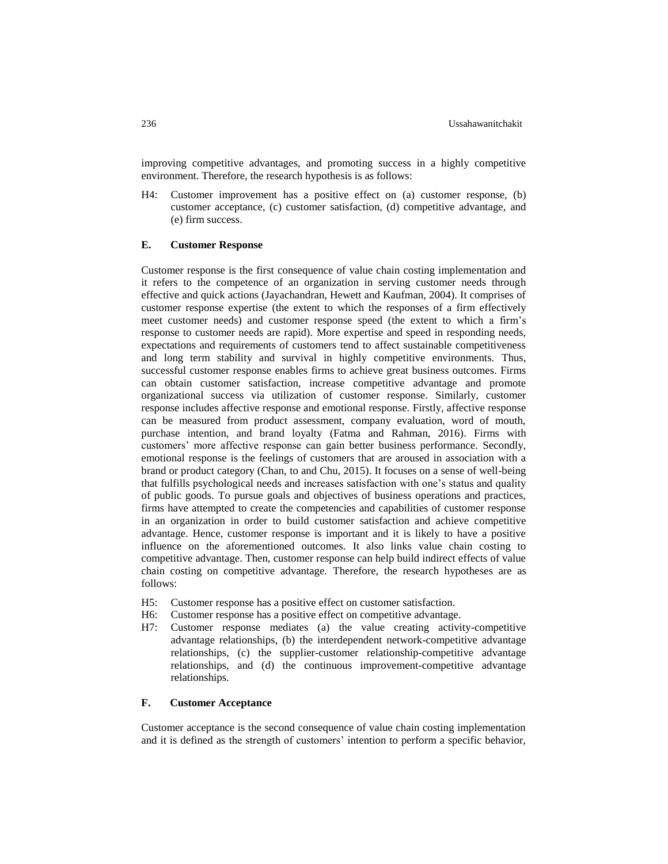improving competitive advantages, and promoting success in a highly competitive environment. Therefore, the research hypothesis is as follows:

H4: Customer improvement has a positive effect on (a) customer response, (b) customer acceptance, (c) customer satisfaction, (d) competitive advantage, and (e) firm success.

# **E. Customer Response**

Customer response is the first consequence of value chain costing implementation and it refers to the competence of an organization in serving customer needs through effective and quick actions (Jayachandran, Hewett and Kaufman, 2004). It comprises of customer response expertise (the extent to which the responses of a firm effectively meet customer needs) and customer response speed (the extent to which a firm's response to customer needs are rapid). More expertise and speed in responding needs, expectations and requirements of customers tend to affect sustainable competitiveness and long term stability and survival in highly competitive environments. Thus, successful customer response enables firms to achieve great business outcomes. Firms can obtain customer satisfaction, increase competitive advantage and promote organizational success via utilization of customer response. Similarly, customer response includes affective response and emotional response. Firstly, affective response can be measured from product assessment, company evaluation, word of mouth, purchase intention, and brand loyalty (Fatma and Rahman, 2016). Firms with customers' more affective response can gain better business performance. Secondly, emotional response is the feelings of customers that are aroused in association with a brand or product category (Chan, to and Chu, 2015). It focuses on a sense of well-being that fulfills psychological needs and increases satisfaction with one's status and quality of public goods. To pursue goals and objectives of business operations and practices, firms have attempted to create the competencies and capabilities of customer response in an organization in order to build customer satisfaction and achieve competitive advantage. Hence, customer response is important and it is likely to have a positive influence on the aforementioned outcomes. It also links value chain costing to competitive advantage. Then, customer response can help build indirect effects of value chain costing on competitive advantage. Therefore, the research hypotheses are as follows:

- H5: Customer response has a positive effect on customer satisfaction.
- H6: Customer response has a positive effect on competitive advantage.
- H7: Customer response mediates (a) the value creating activity-competitive advantage relationships, (b) the interdependent network-competitive advantage relationships, (c) the supplier-customer relationship-competitive advantage relationships, and (d) the continuous improvement-competitive advantage relationships.

# **F. Customer Acceptance**

Customer acceptance is the second consequence of value chain costing implementation and it is defined as the strength of customers' intention to perform a specific behavior,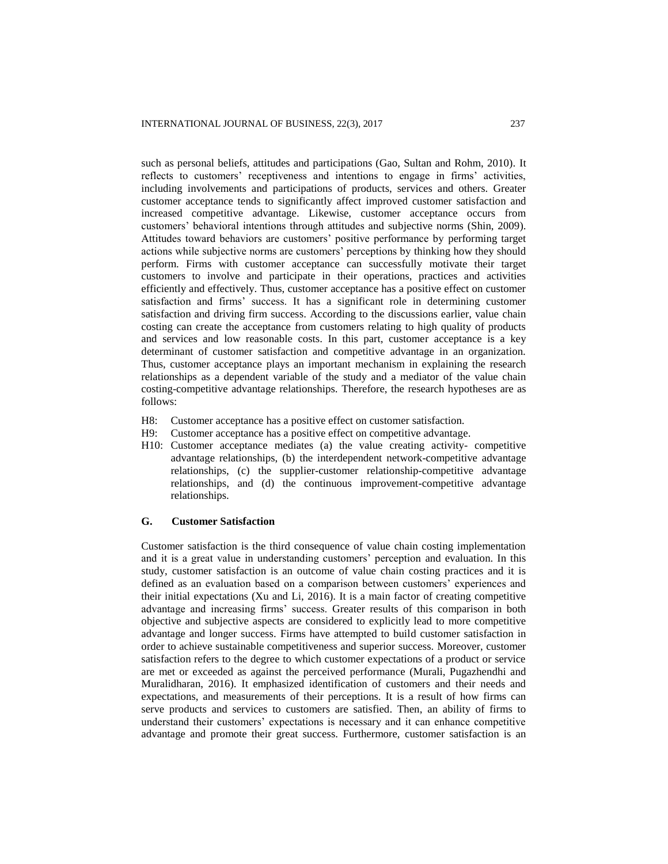such as personal beliefs, attitudes and participations (Gao, Sultan and Rohm, 2010). It reflects to customers' receptiveness and intentions to engage in firms' activities, including involvements and participations of products, services and others. Greater customer acceptance tends to significantly affect improved customer satisfaction and increased competitive advantage. Likewise, customer acceptance occurs from customers' behavioral intentions through attitudes and subjective norms (Shin, 2009). Attitudes toward behaviors are customers' positive performance by performing target actions while subjective norms are customers' perceptions by thinking how they should perform. Firms with customer acceptance can successfully motivate their target customers to involve and participate in their operations, practices and activities efficiently and effectively. Thus, customer acceptance has a positive effect on customer satisfaction and firms' success. It has a significant role in determining customer satisfaction and driving firm success. According to the discussions earlier, value chain costing can create the acceptance from customers relating to high quality of products and services and low reasonable costs. In this part, customer acceptance is a key determinant of customer satisfaction and competitive advantage in an organization. Thus, customer acceptance plays an important mechanism in explaining the research relationships as a dependent variable of the study and a mediator of the value chain costing-competitive advantage relationships. Therefore, the research hypotheses are as follows:

- H8: Customer acceptance has a positive effect on customer satisfaction.
- H9: Customer acceptance has a positive effect on competitive advantage.
- H10: Customer acceptance mediates (a) the value creating activity- competitive advantage relationships, (b) the interdependent network-competitive advantage relationships, (c) the supplier-customer relationship-competitive advantage relationships, and (d) the continuous improvement-competitive advantage relationships.

# **G. Customer Satisfaction**

Customer satisfaction is the third consequence of value chain costing implementation and it is a great value in understanding customers' perception and evaluation. In this study, customer satisfaction is an outcome of value chain costing practices and it is defined as an evaluation based on a comparison between customers' experiences and their initial expectations (Xu and Li, 2016). It is a main factor of creating competitive advantage and increasing firms' success. Greater results of this comparison in both objective and subjective aspects are considered to explicitly lead to more competitive advantage and longer success. Firms have attempted to build customer satisfaction in order to achieve sustainable competitiveness and superior success. Moreover, customer satisfaction refers to the degree to which customer expectations of a product or service are met or exceeded as against the perceived performance (Murali, Pugazhendhi and Muralidharan, 2016). It emphasized identification of customers and their needs and expectations, and measurements of their perceptions. It is a result of how firms can serve products and services to customers are satisfied. Then, an ability of firms to understand their customers' expectations is necessary and it can enhance competitive advantage and promote their great success. Furthermore, customer satisfaction is an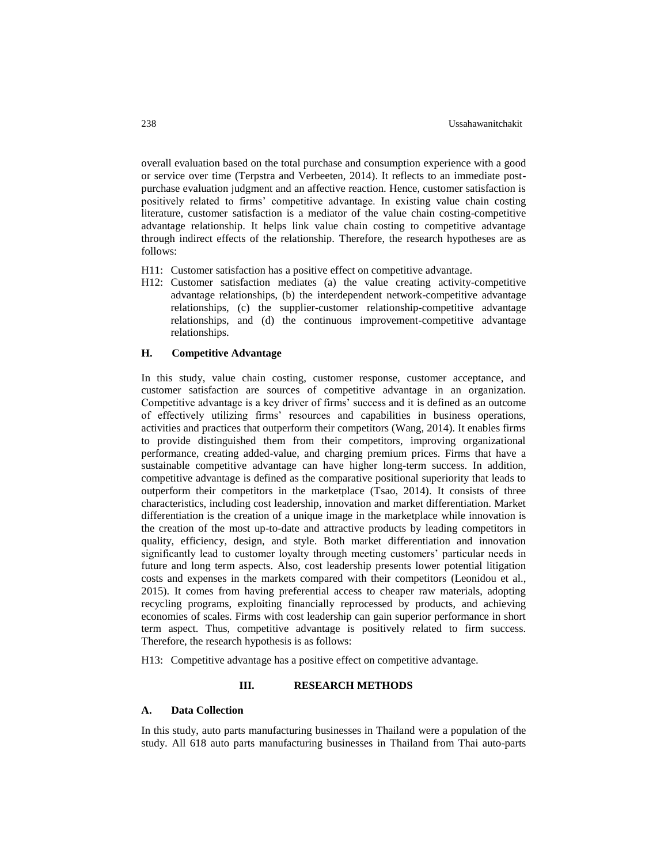overall evaluation based on the total purchase and consumption experience with a good or service over time (Terpstra and Verbeeten, 2014). It reflects to an immediate postpurchase evaluation judgment and an affective reaction. Hence, customer satisfaction is positively related to firms' competitive advantage. In existing value chain costing literature, customer satisfaction is a mediator of the value chain costing-competitive advantage relationship. It helps link value chain costing to competitive advantage through indirect effects of the relationship. Therefore, the research hypotheses are as follows:

- H11: Customer satisfaction has a positive effect on competitive advantage.
- H12: Customer satisfaction mediates (a) the value creating activity-competitive advantage relationships, (b) the interdependent network-competitive advantage relationships, (c) the supplier-customer relationship-competitive advantage relationships, and (d) the continuous improvement-competitive advantage relationships.

# **H. Competitive Advantage**

In this study, value chain costing, customer response, customer acceptance, and customer satisfaction are sources of competitive advantage in an organization. Competitive advantage is a key driver of firms' success and it is defined as an outcome of effectively utilizing firms' resources and capabilities in business operations, activities and practices that outperform their competitors (Wang, 2014). It enables firms to provide distinguished them from their competitors, improving organizational performance, creating added-value, and charging premium prices. Firms that have a sustainable competitive advantage can have higher long-term success. In addition, competitive advantage is defined as the comparative positional superiority that leads to outperform their competitors in the marketplace (Tsao, 2014). It consists of three characteristics, including cost leadership, innovation and market differentiation. Market differentiation is the creation of a unique image in the marketplace while innovation is the creation of the most up-to-date and attractive products by leading competitors in quality, efficiency, design, and style. Both market differentiation and innovation significantly lead to customer loyalty through meeting customers' particular needs in future and long term aspects. Also, cost leadership presents lower potential litigation costs and expenses in the markets compared with their competitors (Leonidou et al., 2015). It comes from having preferential access to cheaper raw materials, adopting recycling programs, exploiting financially reprocessed by products, and achieving economies of scales. Firms with cost leadership can gain superior performance in short term aspect. Thus, competitive advantage is positively related to firm success. Therefore, the research hypothesis is as follows:

H13: Competitive advantage has a positive effect on competitive advantage.

## **III. RESEARCH METHODS**

## **A. Data Collection**

In this study, auto parts manufacturing businesses in Thailand were a population of the study. All 618 auto parts manufacturing businesses in Thailand from Thai auto-parts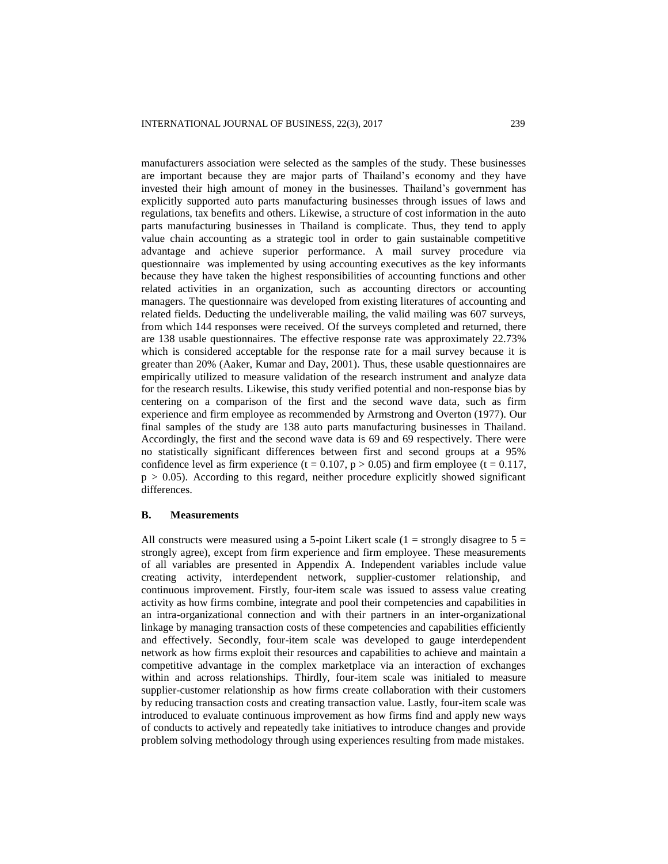manufacturers association were selected as the samples of the study. These businesses are important because they are major parts of Thailand's economy and they have invested their high amount of money in the businesses. Thailand's government has explicitly supported auto parts manufacturing businesses through issues of laws and regulations, tax benefits and others. Likewise, a structure of cost information in the auto parts manufacturing businesses in Thailand is complicate. Thus, they tend to apply value chain accounting as a strategic tool in order to gain sustainable competitive advantage and achieve superior performance. A mail survey procedure via questionnaire was implemented by using accounting executives as the key informants because they have taken the highest responsibilities of accounting functions and other related activities in an organization, such as accounting directors or accounting managers. The questionnaire was developed from existing literatures of accounting and related fields. Deducting the undeliverable mailing, the valid mailing was 607 surveys, from which 144 responses were received. Of the surveys completed and returned, there are 138 usable questionnaires. The effective response rate was approximately 22.73% which is considered acceptable for the response rate for a mail survey because it is greater than 20% (Aaker, Kumar and Day, 2001). Thus, these usable questionnaires are empirically utilized to measure validation of the research instrument and analyze data for the research results. Likewise, this study verified potential and non-response bias by centering on a comparison of the first and the second wave data, such as firm experience and firm employee as recommended by Armstrong and Overton (1977). Our final samples of the study are 138 auto parts manufacturing businesses in Thailand. Accordingly, the first and the second wave data is 69 and 69 respectively. There were no statistically significant differences between first and second groups at a 95% confidence level as firm experience (t = 0.107, p > 0.05) and firm employee (t = 0.117,  $p > 0.05$ ). According to this regard, neither procedure explicitly showed significant differences.

#### **B. Measurements**

All constructs were measured using a 5-point Likert scale (1 = strongly disagree to  $5 =$ strongly agree), except from firm experience and firm employee. These measurements of all variables are presented in Appendix A. Independent variables include value creating activity, interdependent network, supplier-customer relationship, and continuous improvement. Firstly, four-item scale was issued to assess value creating activity as how firms combine, integrate and pool their competencies and capabilities in an intra-organizational connection and with their partners in an inter-organizational linkage by managing transaction costs of these competencies and capabilities efficiently and effectively. Secondly, four-item scale was developed to gauge interdependent network as how firms exploit their resources and capabilities to achieve and maintain a competitive advantage in the complex marketplace via an interaction of exchanges within and across relationships. Thirdly, four-item scale was initialed to measure supplier-customer relationship as how firms create collaboration with their customers by reducing transaction costs and creating transaction value. Lastly, four-item scale was introduced to evaluate continuous improvement as how firms find and apply new ways of conducts to actively and repeatedly take initiatives to introduce changes and provide problem solving methodology through using experiences resulting from made mistakes.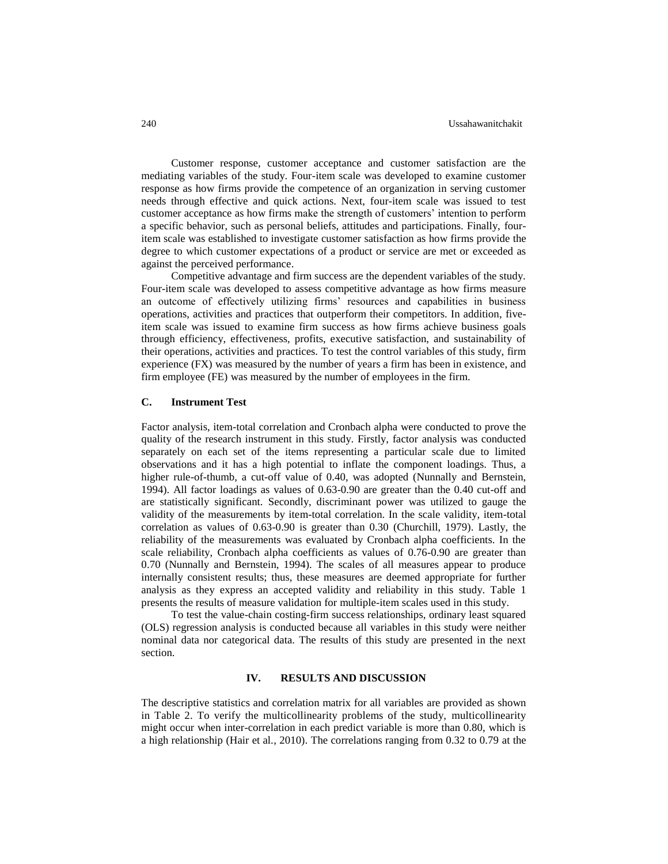Customer response, customer acceptance and customer satisfaction are the mediating variables of the study. Four-item scale was developed to examine customer response as how firms provide the competence of an organization in serving customer needs through effective and quick actions. Next, four-item scale was issued to test customer acceptance as how firms make the strength of customers' intention to perform a specific behavior, such as personal beliefs, attitudes and participations. Finally, fouritem scale was established to investigate customer satisfaction as how firms provide the degree to which customer expectations of a product or service are met or exceeded as against the perceived performance.

Competitive advantage and firm success are the dependent variables of the study. Four-item scale was developed to assess competitive advantage as how firms measure an outcome of effectively utilizing firms' resources and capabilities in business operations, activities and practices that outperform their competitors. In addition, fiveitem scale was issued to examine firm success as how firms achieve business goals through efficiency, effectiveness, profits, executive satisfaction, and sustainability of their operations, activities and practices. To test the control variables of this study, firm experience (FX) was measured by the number of years a firm has been in existence, and firm employee (FE) was measured by the number of employees in the firm.

## **C. Instrument Test**

Factor analysis, item-total correlation and Cronbach alpha were conducted to prove the quality of the research instrument in this study. Firstly, factor analysis was conducted separately on each set of the items representing a particular scale due to limited observations and it has a high potential to inflate the component loadings. Thus, a higher rule-of-thumb, a cut-off value of 0.40, was adopted (Nunnally and Bernstein, 1994). All factor loadings as values of 0.63-0.90 are greater than the 0.40 cut-off and are statistically significant. Secondly, discriminant power was utilized to gauge the validity of the measurements by item-total correlation. In the scale validity, item-total correlation as values of 0.63-0.90 is greater than 0.30 (Churchill, 1979). Lastly, the reliability of the measurements was evaluated by Cronbach alpha coefficients. In the scale reliability, Cronbach alpha coefficients as values of 0.76-0.90 are greater than 0.70 (Nunnally and Bernstein, 1994). The scales of all measures appear to produce internally consistent results; thus, these measures are deemed appropriate for further analysis as they express an accepted validity and reliability in this study. Table 1 presents the results of measure validation for multiple-item scales used in this study.

To test the value-chain costing-firm success relationships, ordinary least squared (OLS) regression analysis is conducted because all variables in this study were neither nominal data nor categorical data. The results of this study are presented in the next section.

## **IV. RESULTS AND DISCUSSION**

The descriptive statistics and correlation matrix for all variables are provided as shown in Table 2. To verify the multicollinearity problems of the study, multicollinearity might occur when inter-correlation in each predict variable is more than 0.80, which is a high relationship (Hair et al., 2010). The correlations ranging from 0.32 to 0.79 at the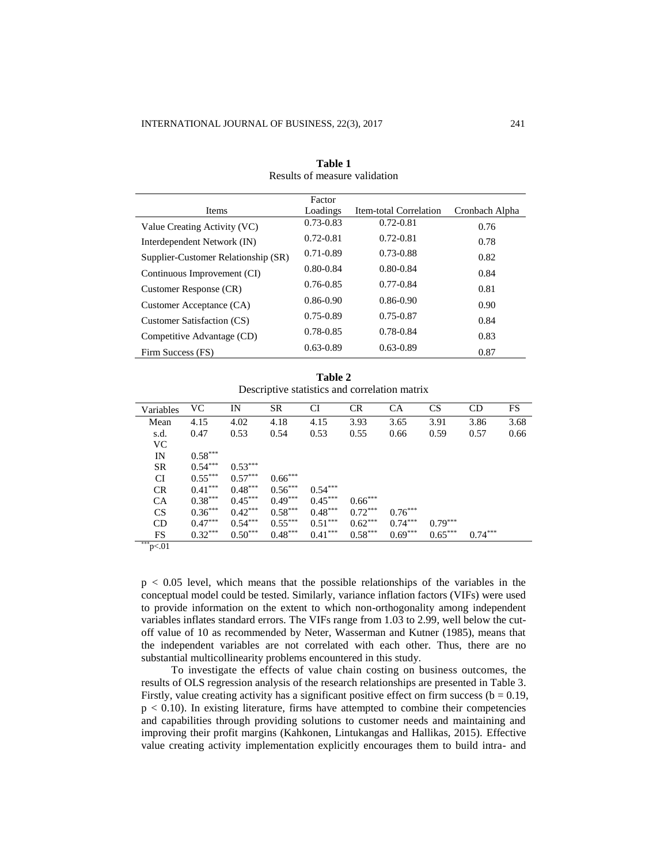|                                     | Factor        |                        |                |
|-------------------------------------|---------------|------------------------|----------------|
| Items                               | Loadings      | Item-total Correlation | Cronbach Alpha |
| Value Creating Activity (VC)        | $0.73 - 0.83$ | $0.72 - 0.81$          | 0.76           |
| Interdependent Network (IN)         | $0.72 - 0.81$ | $0.72 - 0.81$          | 0.78           |
| Supplier-Customer Relationship (SR) | $0.71 - 0.89$ | 0.73-0.88              | 0.82           |
| Continuous Improvement (CI)         | $0.80 - 0.84$ | $0.80 - 0.84$          | 0.84           |
| Customer Response (CR)              | $0.76 - 0.85$ | $0.77 - 0.84$          | 0.81           |
| Customer Acceptance (CA)            | $0.86 - 0.90$ | $0.86 - 0.90$          | 0.90           |
| Customer Satisfaction (CS)          | $0.75 - 0.89$ | $0.75 - 0.87$          | 0.84           |
| Competitive Advantage (CD)          | 0.78-0.85     | 0.78-0.84              | 0.83           |
| Firm Success (FS)                   | $0.63 - 0.89$ | $0.63 - 0.89$          | 0.87           |

**Table 1** Results of measure validation

| Table 2                                       |  |  |  |  |  |  |  |
|-----------------------------------------------|--|--|--|--|--|--|--|
| Descriptive statistics and correlation matrix |  |  |  |  |  |  |  |

| Variables  | VC.       | IN        | <b>SR</b> | <b>CI</b> | <b>CR</b> | <b>CA</b> | <b>CS</b> | CD        | <b>FS</b> |
|------------|-----------|-----------|-----------|-----------|-----------|-----------|-----------|-----------|-----------|
| Mean       | 4.15      | 4.02      | 4.18      | 4.15      | 3.93      | 3.65      | 3.91      | 3.86      | 3.68      |
| s.d.       | 0.47      | 0.53      | 0.54      | 0.53      | 0.55      | 0.66      | 0.59      | 0.57      | 0.66      |
| <b>VC</b>  |           |           |           |           |           |           |           |           |           |
| IN         | $0.58***$ |           |           |           |           |           |           |           |           |
| <b>SR</b>  | $0.54***$ | $0.53***$ |           |           |           |           |           |           |           |
| CI         | $0.55***$ | $0.57***$ | $0.66***$ |           |           |           |           |           |           |
| <b>CR</b>  | $0.41***$ | $0.48***$ | $0.56***$ | $0.54***$ |           |           |           |           |           |
| <b>CA</b>  | $0.38***$ | $0.45***$ | $0.49***$ | $0.45***$ | $0.66***$ |           |           |           |           |
| CS         | $0.36***$ | $0.42***$ | $0.58***$ | $0.48***$ | $0.72***$ | $0.76***$ |           |           |           |
| CD         | $0.47***$ | $0.54***$ | $0.55***$ | $0.51***$ | $0.62***$ | $0.74***$ | $0.79***$ |           |           |
| FS.        | $0.32***$ | $0.50***$ | $0.48***$ | $0.41***$ | $0.58***$ | $0.69***$ | $0.65***$ | $0.74***$ |           |
| $*** - 01$ |           |           |           |           |           |           |           |           |           |

 $p<.01$ 

 $p < 0.05$  level, which means that the possible relationships of the variables in the conceptual model could be tested. Similarly, variance inflation factors (VIFs) were used to provide information on the extent to which non-orthogonality among independent variables inflates standard errors. The VIFs range from 1.03 to 2.99, well below the cutoff value of 10 as recommended by Neter, Wasserman and Kutner (1985), means that the independent variables are not correlated with each other. Thus, there are no substantial multicollinearity problems encountered in this study.

To investigate the effects of value chain costing on business outcomes, the results of OLS regression analysis of the research relationships are presented in Table 3. Firstly, value creating activity has a significant positive effect on firm success ( $b = 0.19$ ,  $p < 0.10$ ). In existing literature, firms have attempted to combine their competencies and capabilities through providing solutions to customer needs and maintaining and improving their profit margins (Kahkonen, Lintukangas and Hallikas, 2015). Effective value creating activity implementation explicitly encourages them to build intra- and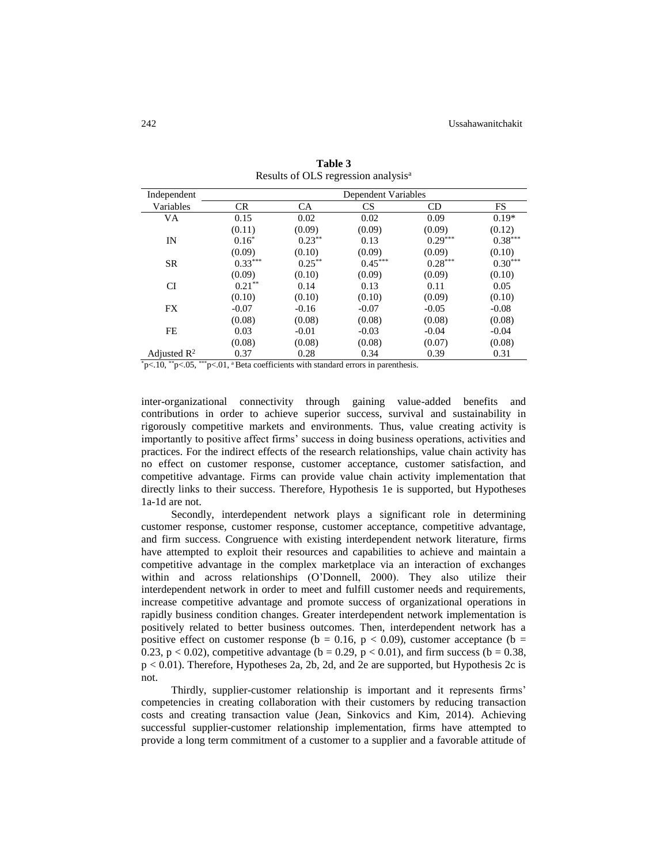| Independent             | Dependent Variables |           |           |           |           |  |  |
|-------------------------|---------------------|-----------|-----------|-----------|-----------|--|--|
| Variables               | <b>CR</b>           | <b>CA</b> | CS        | CD        | FS        |  |  |
| VA                      | 0.15                | 0.02      | 0.02      | 0.09      | $0.19*$   |  |  |
|                         | (0.11)              | (0.09)    | (0.09)    | (0.09)    | (0.12)    |  |  |
| IN                      | $0.16*$             | $0.23***$ | 0.13      | $0.29***$ | $0.38***$ |  |  |
|                         | (0.09)              | (0.10)    | (0.09)    | (0.09)    | (0.10)    |  |  |
| <b>SR</b>               | $0.33***$           | $0.25***$ | $0.45***$ | $0.28***$ | $0.30***$ |  |  |
|                         | (0.09)              | (0.10)    | (0.09)    | (0.09)    | (0.10)    |  |  |
| CI                      | $0.21***$           | 0.14      | 0.13      | 0.11      | 0.05      |  |  |
|                         | (0.10)              | (0.10)    | (0.10)    | (0.09)    | (0.10)    |  |  |
| FX                      | $-0.07$             | $-0.16$   | $-0.07$   | $-0.05$   | $-0.08$   |  |  |
|                         | (0.08)              | (0.08)    | (0.08)    | (0.08)    | (0.08)    |  |  |
| FE                      | 0.03                | $-0.01$   | $-0.03$   | $-0.04$   | $-0.04$   |  |  |
|                         | (0.08)              | (0.08)    | (0.08)    | (0.07)    | (0.08)    |  |  |
| Adjusted $\mathbb{R}^2$ | 0.37                | 0.28      | 0.34      | 0.39      | 0.31      |  |  |

**Table 3** Results of OLS regression analysis<sup>a</sup>

 $*p<.10$ ,  $*p<.05$ ,  $*p<.01$ ,  $*$  Beta coefficients with standard errors in parenthesis.

inter-organizational connectivity through gaining value-added benefits and contributions in order to achieve superior success, survival and sustainability in rigorously competitive markets and environments. Thus, value creating activity is importantly to positive affect firms' success in doing business operations, activities and practices. For the indirect effects of the research relationships, value chain activity has no effect on customer response, customer acceptance, customer satisfaction, and competitive advantage. Firms can provide value chain activity implementation that directly links to their success. Therefore, Hypothesis 1e is supported, but Hypotheses 1a-1d are not.

Secondly, interdependent network plays a significant role in determining customer response, customer response, customer acceptance, competitive advantage, and firm success. Congruence with existing interdependent network literature, firms have attempted to exploit their resources and capabilities to achieve and maintain a competitive advantage in the complex marketplace via an interaction of exchanges within and across relationships (O'Donnell, 2000). They also utilize their interdependent network in order to meet and fulfill customer needs and requirements, increase competitive advantage and promote success of organizational operations in rapidly business condition changes. Greater interdependent network implementation is positively related to better business outcomes. Then, interdependent network has a positive effect on customer response (b = 0.16, p < 0.09), customer acceptance (b = 0.23, p < 0.02), competitive advantage ( $b = 0.29$ , p < 0.01), and firm success ( $b = 0.38$ , p < 0.01). Therefore, Hypotheses 2a, 2b, 2d, and 2e are supported, but Hypothesis 2c is not.

Thirdly, supplier-customer relationship is important and it represents firms' competencies in creating collaboration with their customers by reducing transaction costs and creating transaction value (Jean, Sinkovics and Kim, 2014). Achieving successful supplier-customer relationship implementation, firms have attempted to provide a long term commitment of a customer to a supplier and a favorable attitude of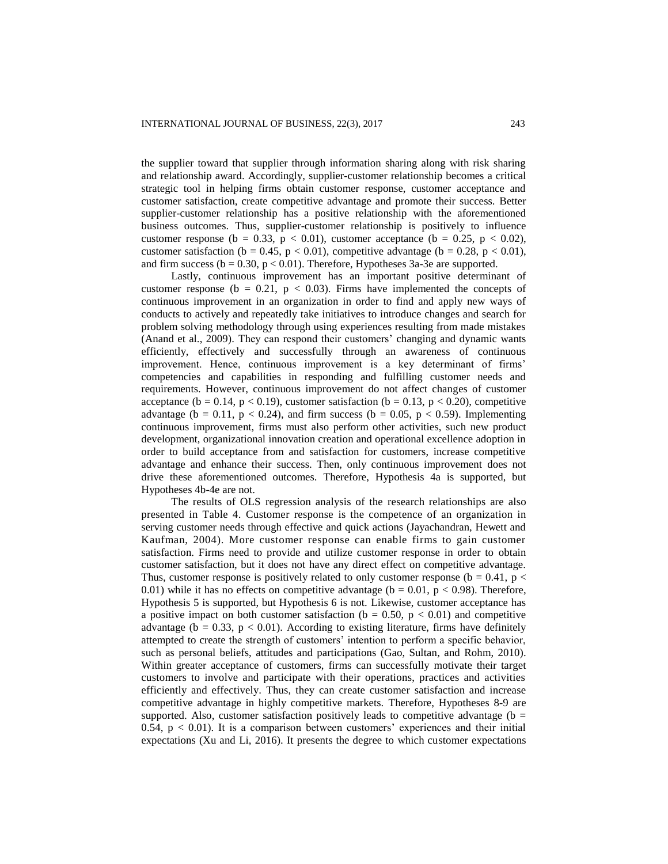the supplier toward that supplier through information sharing along with risk sharing and relationship award. Accordingly, supplier-customer relationship becomes a critical strategic tool in helping firms obtain customer response, customer acceptance and customer satisfaction, create competitive advantage and promote their success. Better supplier-customer relationship has a positive relationship with the aforementioned business outcomes. Thus, supplier-customer relationship is positively to influence customer response (b = 0.33, p < 0.01), customer acceptance (b = 0.25, p < 0.02), customer satisfaction (b = 0.45, p < 0.01), competitive advantage (b = 0.28, p < 0.01), and firm success ( $b = 0.30$ ,  $p < 0.01$ ). Therefore, Hypotheses 3a-3e are supported.

Lastly, continuous improvement has an important positive determinant of customer response ( $b = 0.21$ ,  $p < 0.03$ ). Firms have implemented the concepts of continuous improvement in an organization in order to find and apply new ways of conducts to actively and repeatedly take initiatives to introduce changes and search for problem solving methodology through using experiences resulting from made mistakes (Anand et al., 2009). They can respond their customers' changing and dynamic wants efficiently, effectively and successfully through an awareness of continuous improvement. Hence, continuous improvement is a key determinant of firms' competencies and capabilities in responding and fulfilling customer needs and requirements. However, continuous improvement do not affect changes of customer acceptance (b = 0.14, p < 0.19), customer satisfaction (b = 0.13, p < 0.20), competitive advantage (b = 0.11,  $p < 0.24$ ), and firm success (b = 0.05,  $p < 0.59$ ). Implementing continuous improvement, firms must also perform other activities, such new product development, organizational innovation creation and operational excellence adoption in order to build acceptance from and satisfaction for customers, increase competitive advantage and enhance their success. Then, only continuous improvement does not drive these aforementioned outcomes. Therefore, Hypothesis 4a is supported, but Hypotheses 4b-4e are not.

The results of OLS regression analysis of the research relationships are also presented in Table 4. Customer response is the competence of an organization in serving customer needs through effective and quick actions (Jayachandran, Hewett and Kaufman, 2004). More customer response can enable firms to gain customer satisfaction. Firms need to provide and utilize customer response in order to obtain customer satisfaction, but it does not have any direct effect on competitive advantage. Thus, customer response is positively related to only customer response ( $b = 0.41$ ,  $p <$ 0.01) while it has no effects on competitive advantage ( $b = 0.01$ ,  $p < 0.98$ ). Therefore, Hypothesis 5 is supported, but Hypothesis 6 is not. Likewise, customer acceptance has a positive impact on both customer satisfaction ( $b = 0.50$ ,  $p < 0.01$ ) and competitive advantage ( $b = 0.33$ ,  $p < 0.01$ ). According to existing literature, firms have definitely attempted to create the strength of customers' intention to perform a specific behavior, such as personal beliefs, attitudes and participations (Gao, Sultan, and Rohm, 2010). Within greater acceptance of customers, firms can successfully motivate their target customers to involve and participate with their operations, practices and activities efficiently and effectively. Thus, they can create customer satisfaction and increase competitive advantage in highly competitive markets. Therefore, Hypotheses 8-9 are supported. Also, customer satisfaction positively leads to competitive advantage ( $b =$ 0.54,  $p < 0.01$ ). It is a comparison between customers' experiences and their initial expectations (Xu and Li, 2016). It presents the degree to which customer expectations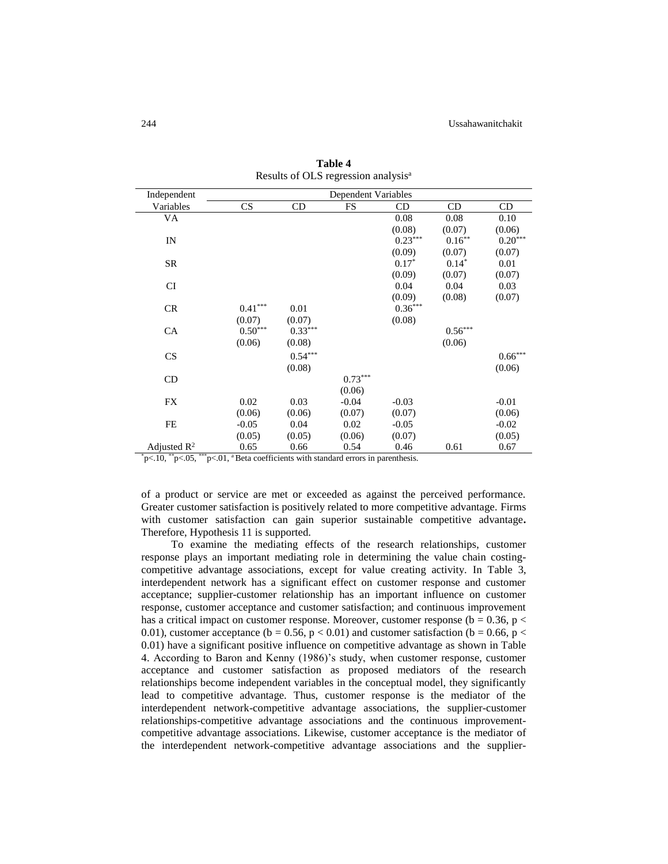| Independent    | Dependent Variables   |           |                       |                       |                       |                       |  |
|----------------|-----------------------|-----------|-----------------------|-----------------------|-----------------------|-----------------------|--|
| Variables      | CS                    | CD        | FS                    | CD                    | CD                    | CD                    |  |
| VA             |                       |           |                       | 0.08                  | 0.08                  | 0.10                  |  |
|                |                       |           |                       | (0.08)                | (0.07)                | (0.06)                |  |
| IN             |                       |           |                       | $0.23***$             | $0.16***$             | $0.20^{\ast\ast\ast}$ |  |
|                |                       |           |                       | (0.09)                | (0.07)                | (0.07)                |  |
| SR             |                       |           |                       | $0.17*$               | $0.14*$               | 0.01                  |  |
|                |                       |           |                       | (0.09)                | (0.07)                | (0.07)                |  |
| <b>CI</b>      |                       |           |                       | 0.04                  | 0.04                  | 0.03                  |  |
|                |                       |           |                       | (0.09)                | (0.08)                | (0.07)                |  |
| CR             | $0.41^{\ast\ast\ast}$ | 0.01      |                       | $0.36^{\ast\ast\ast}$ |                       |                       |  |
|                | (0.07)                | (0.07)    |                       | (0.08)                |                       |                       |  |
| CA             | $0.50^{\ast\ast\ast}$ | $0.33***$ |                       |                       | $0.56^{\ast\ast\ast}$ |                       |  |
|                | (0.06)                | (0.08)    |                       |                       | (0.06)                |                       |  |
| CS             |                       | $0.54***$ |                       |                       |                       | $0.66^{\ast\ast\ast}$ |  |
|                |                       | (0.08)    |                       |                       |                       | (0.06)                |  |
| CD             |                       |           | $0.73^{\ast\ast\ast}$ |                       |                       |                       |  |
|                |                       |           | (0.06)                |                       |                       |                       |  |
| FX             | 0.02                  | 0.03      | $-0.04$               | $-0.03$               |                       | $-0.01$               |  |
|                | (0.06)                | (0.06)    | (0.07)                | (0.07)                |                       | (0.06)                |  |
| FE             | $-0.05$               | 0.04      | 0.02                  | $-0.05$               |                       | $-0.02$               |  |
|                | (0.05)                | (0.05)    | (0.06)                | (0.07)                |                       | (0.05)                |  |
| Adjusted $R^2$ | 0.65                  | 0.66      | 0.54                  | 0.46                  | 0.61                  | 0.67                  |  |

**Table 4** Results of OLS regression analysis<sup>a</sup>

 $p<.10$ ,  $p<.05$ ,  $p<.01$ ,  $p<.01$ , a Beta coefficients with standard errors in parenthesis.

of a product or service are met or exceeded as against the perceived performance. Greater customer satisfaction is positively related to more competitive advantage. Firms with customer satisfaction can gain superior sustainable competitive advantage**.**  Therefore, Hypothesis 11 is supported.

To examine the mediating effects of the research relationships, customer response plays an important mediating role in determining the value chain costingcompetitive advantage associations, except for value creating activity. In Table 3, interdependent network has a significant effect on customer response and customer acceptance; supplier-customer relationship has an important influence on customer response, customer acceptance and customer satisfaction; and continuous improvement has a critical impact on customer response. Moreover, customer response ( $b = 0.36$ ,  $p <$ 0.01), customer acceptance (b = 0.56, p < 0.01) and customer satisfaction (b = 0.66, p < 0.01) have a significant positive influence on competitive advantage as shown in Table 4. According to Baron and Kenny (1986)'s study, when customer response, customer acceptance and customer satisfaction as proposed mediators of the research relationships become independent variables in the conceptual model, they significantly lead to competitive advantage. Thus, customer response is the mediator of the interdependent network-competitive advantage associations, the supplier-customer relationships-competitive advantage associations and the continuous improvementcompetitive advantage associations. Likewise, customer acceptance is the mediator of the interdependent network-competitive advantage associations and the supplier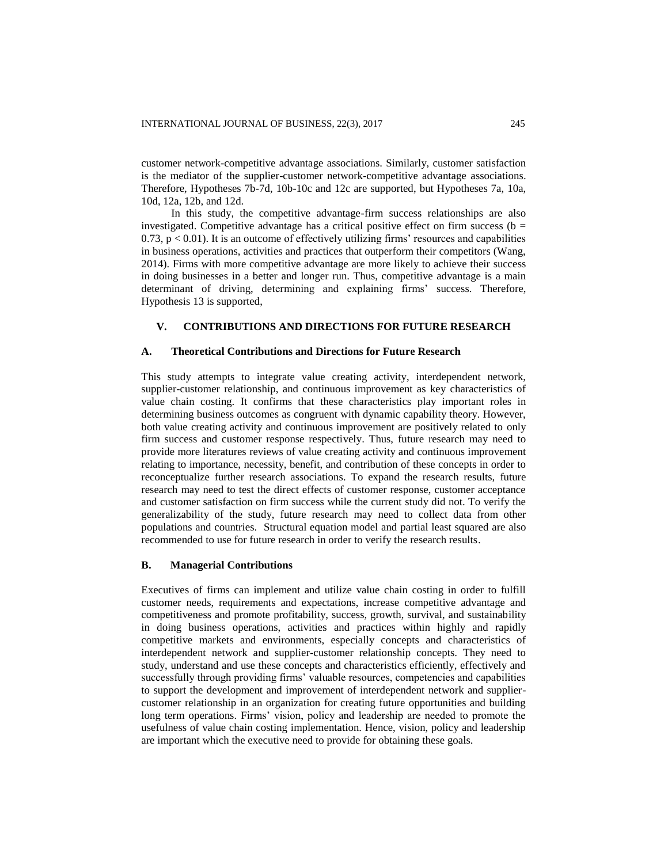customer network-competitive advantage associations. Similarly, customer satisfaction is the mediator of the supplier-customer network-competitive advantage associations. Therefore, Hypotheses 7b-7d, 10b-10c and 12c are supported, but Hypotheses 7a, 10a, 10d, 12a, 12b, and 12d.

In this study, the competitive advantage-firm success relationships are also investigated. Competitive advantage has a critical positive effect on firm success ( $b =$ 0.73,  $p < 0.01$ ). It is an outcome of effectively utilizing firms' resources and capabilities in business operations, activities and practices that outperform their competitors (Wang, 2014). Firms with more competitive advantage are more likely to achieve their success in doing businesses in a better and longer run. Thus, competitive advantage is a main determinant of driving, determining and explaining firms' success. Therefore, Hypothesis 13 is supported,

# **V. CONTRIBUTIONS AND DIRECTIONS FOR FUTURE RESEARCH**

## **A. Theoretical Contributions and Directions for Future Research**

This study attempts to integrate value creating activity, interdependent network, supplier-customer relationship, and continuous improvement as key characteristics of value chain costing. It confirms that these characteristics play important roles in determining business outcomes as congruent with dynamic capability theory. However, both value creating activity and continuous improvement are positively related to only firm success and customer response respectively. Thus, future research may need to provide more literatures reviews of value creating activity and continuous improvement relating to importance, necessity, benefit, and contribution of these concepts in order to reconceptualize further research associations. To expand the research results, future research may need to test the direct effects of customer response, customer acceptance and customer satisfaction on firm success while the current study did not. To verify the generalizability of the study, future research may need to collect data from other populations and countries. Structural equation model and partial least squared are also recommended to use for future research in order to verify the research results.

## **B. Managerial Contributions**

Executives of firms can implement and utilize value chain costing in order to fulfill customer needs, requirements and expectations, increase competitive advantage and competitiveness and promote profitability, success, growth, survival, and sustainability in doing business operations, activities and practices within highly and rapidly competitive markets and environments, especially concepts and characteristics of interdependent network and supplier-customer relationship concepts. They need to study, understand and use these concepts and characteristics efficiently, effectively and successfully through providing firms' valuable resources, competencies and capabilities to support the development and improvement of interdependent network and suppliercustomer relationship in an organization for creating future opportunities and building long term operations. Firms' vision, policy and leadership are needed to promote the usefulness of value chain costing implementation. Hence, vision, policy and leadership are important which the executive need to provide for obtaining these goals.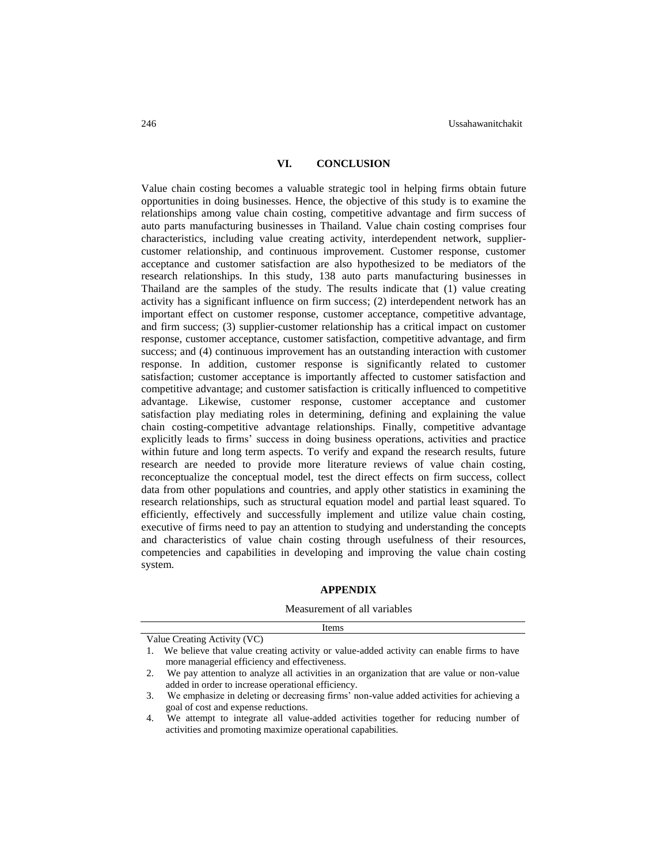## **VI. CONCLUSION**

Value chain costing becomes a valuable strategic tool in helping firms obtain future opportunities in doing businesses. Hence, the objective of this study is to examine the relationships among value chain costing, competitive advantage and firm success of auto parts manufacturing businesses in Thailand. Value chain costing comprises four characteristics, including value creating activity, interdependent network, suppliercustomer relationship, and continuous improvement. Customer response, customer acceptance and customer satisfaction are also hypothesized to be mediators of the research relationships. In this study, 138 auto parts manufacturing businesses in Thailand are the samples of the study. The results indicate that (1) value creating activity has a significant influence on firm success; (2) interdependent network has an important effect on customer response, customer acceptance, competitive advantage, and firm success; (3) supplier-customer relationship has a critical impact on customer response, customer acceptance, customer satisfaction, competitive advantage, and firm success; and (4) continuous improvement has an outstanding interaction with customer response. In addition, customer response is significantly related to customer satisfaction; customer acceptance is importantly affected to customer satisfaction and competitive advantage; and customer satisfaction is critically influenced to competitive advantage. Likewise, customer response, customer acceptance and customer satisfaction play mediating roles in determining, defining and explaining the value chain costing-competitive advantage relationships. Finally, competitive advantage explicitly leads to firms' success in doing business operations, activities and practice within future and long term aspects. To verify and expand the research results, future research are needed to provide more literature reviews of value chain costing, reconceptualize the conceptual model, test the direct effects on firm success, collect data from other populations and countries, and apply other statistics in examining the research relationships, such as structural equation model and partial least squared. To efficiently, effectively and successfully implement and utilize value chain costing, executive of firms need to pay an attention to studying and understanding the concepts and characteristics of value chain costing through usefulness of their resources, competencies and capabilities in developing and improving the value chain costing system.

#### **APPENDIX**

#### Measurement of all variables

Items

Value Creating Activity (VC)

<sup>1.</sup> We believe that value creating activity or value-added activity can enable firms to have more managerial efficiency and effectiveness.

<sup>2.</sup> We pay attention to analyze all activities in an organization that are value or non-value added in order to increase operational efficiency.

<sup>3.</sup> We emphasize in deleting or decreasing firms' non-value added activities for achieving a goal of cost and expense reductions.

<sup>4.</sup> We attempt to integrate all value-added activities together for reducing number of activities and promoting maximize operational capabilities.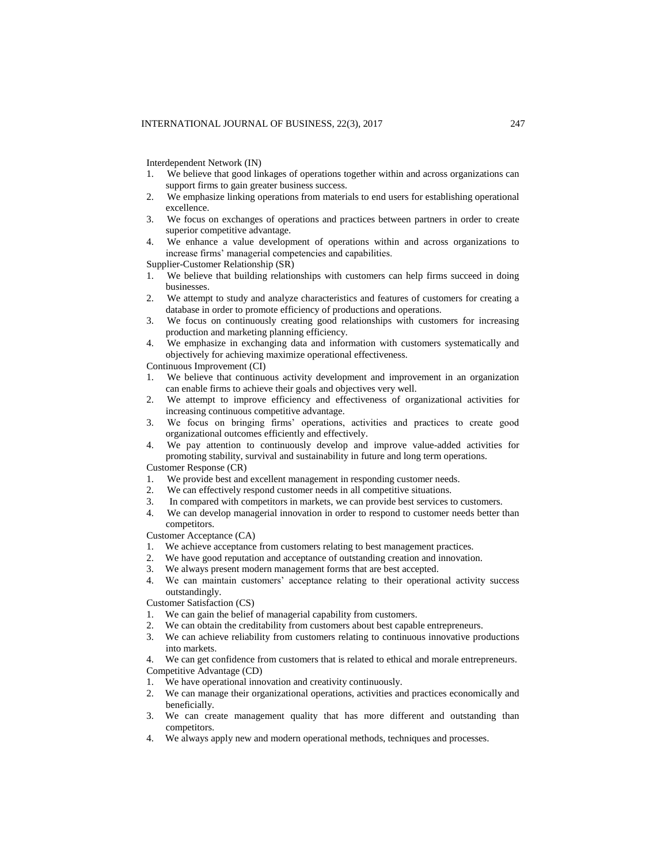Interdependent Network (IN)

- 1. We believe that good linkages of operations together within and across organizations can support firms to gain greater business success.
- 2. We emphasize linking operations from materials to end users for establishing operational excellence.
- 3. We focus on exchanges of operations and practices between partners in order to create superior competitive advantage.
- 4. We enhance a value development of operations within and across organizations to increase firms' managerial competencies and capabilities.

Supplier-Customer Relationship (SR)

- 1. We believe that building relationships with customers can help firms succeed in doing businesses.
- 2. We attempt to study and analyze characteristics and features of customers for creating a database in order to promote efficiency of productions and operations.
- 3. We focus on continuously creating good relationships with customers for increasing production and marketing planning efficiency.
- 4. We emphasize in exchanging data and information with customers systematically and objectively for achieving maximize operational effectiveness.

Continuous Improvement (CI)

- 1. We believe that continuous activity development and improvement in an organization can enable firms to achieve their goals and objectives very well.
- 2. We attempt to improve efficiency and effectiveness of organizational activities for increasing continuous competitive advantage.
- 3. We focus on bringing firms' operations, activities and practices to create good organizational outcomes efficiently and effectively.
- 4. We pay attention to continuously develop and improve value-added activities for promoting stability, survival and sustainability in future and long term operations.

Customer Response (CR)

- 1. We provide best and excellent management in responding customer needs.
- 2. We can effectively respond customer needs in all competitive situations.
- 3. In compared with competitors in markets, we can provide best services to customers.
- 4. We can develop managerial innovation in order to respond to customer needs better than competitors.

Customer Acceptance (CA)

- 1. We achieve acceptance from customers relating to best management practices.
- 2. We have good reputation and acceptance of outstanding creation and innovation.
- 3. We always present modern management forms that are best accepted.
- 4. We can maintain customers' acceptance relating to their operational activity success outstandingly.

Customer Satisfaction (CS)

- 1. We can gain the belief of managerial capability from customers.
- 2. We can obtain the creditability from customers about best capable entrepreneurs.
- 3. We can achieve reliability from customers relating to continuous innovative productions into markets.
- 4. We can get confidence from customers that is related to ethical and morale entrepreneurs. Competitive Advantage (CD)
- 1. We have operational innovation and creativity continuously.
- 2. We can manage their organizational operations, activities and practices economically and beneficially.
- 3. We can create management quality that has more different and outstanding than competitors.
- 4. We always apply new and modern operational methods, techniques and processes.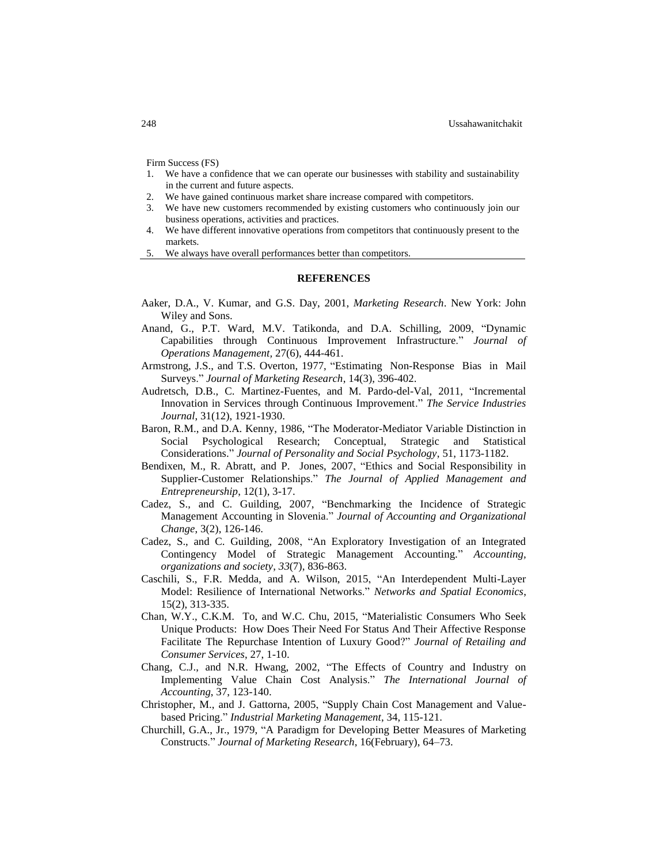Firm Success (FS)

- 1. We have a confidence that we can operate our businesses with stability and sustainability in the current and future aspects.
- 2. We have gained continuous market share increase compared with competitors.
- 3. We have new customers recommended by existing customers who continuously join our business operations, activities and practices.
- 4. We have different innovative operations from competitors that continuously present to the markets.
- 5. We always have overall performances better than competitors.

#### **REFERENCES**

- Aaker, D.A., V. Kumar, and G.S. Day, 2001, *Marketing Research*. New York: John Wiley and Sons.
- Anand, G., P.T. Ward, M.V. Tatikonda, and D.A. Schilling, 2009, "Dynamic Capabilities through Continuous Improvement Infrastructure." *Journal of Operations Management,* 27(6), 444-461.
- Armstrong, J.S., and T.S. Overton, 1977, "Estimating Non-Response Bias in Mail Surveys." *Journal of Marketing Research*, 14(3), 396-402.
- Audretsch, D.B., C. Martinez-Fuentes, and M. Pardo-del-Val, 2011, "Incremental Innovation in Services through Continuous Improvement." *The Service Industries Journal*, 31(12), 1921-1930.
- Baron, R.M., and D.A. Kenny, 1986, "The Moderator-Mediator Variable Distinction in Social Psychological Research; Conceptual, Strategic and Statistical Considerations." *Journal of Personality and Social Psychology*, 51, 1173-1182.
- Bendixen, M., R. Abratt, and P. Jones, 2007, "Ethics and Social Responsibility in Supplier-Customer Relationships." *The Journal of Applied Management and Entrepreneurship*, 12(1), 3-17.
- Cadez, S., and C. Guilding, 2007, "Benchmarking the Incidence of Strategic Management Accounting in Slovenia." *Journal of Accounting and Organizational Change*, 3(2), 126-146.
- Cadez, S., and C. Guilding, 2008, "An Exploratory Investigation of an Integrated Contingency Model of Strategic Management Accounting." *Accounting, organizations and society*, *33*(7), 836-863.
- Caschili, S., F.R. Medda, and A. Wilson, 2015, "An Interdependent Multi-Layer Model: Resilience of International Networks." *Networks and Spatial Economics*, 15(2), 313-335.
- Chan, W.Y., C.K.M. To, and W.C. Chu, 2015, "Materialistic Consumers Who Seek Unique Products: How Does Their Need For Status And Their Affective Response Facilitate The Repurchase Intention of Luxury Good?" *Journal of Retailing and Consumer Services*, 27, 1-10.
- Chang, C.J., and N.R. Hwang, 2002, "The Effects of Country and Industry on Implementing Value Chain Cost Analysis." *The International Journal of Accounting*, 37, 123-140.
- Christopher, M., and J. Gattorna, 2005, "Supply Chain Cost Management and Valuebased Pricing." *Industrial Marketing Management*, 34, 115-121.
- Churchill, G.A., Jr., 1979, "A Paradigm for Developing Better Measures of Marketing Constructs." *Journal of Marketing Research*, 16(February), 64–73.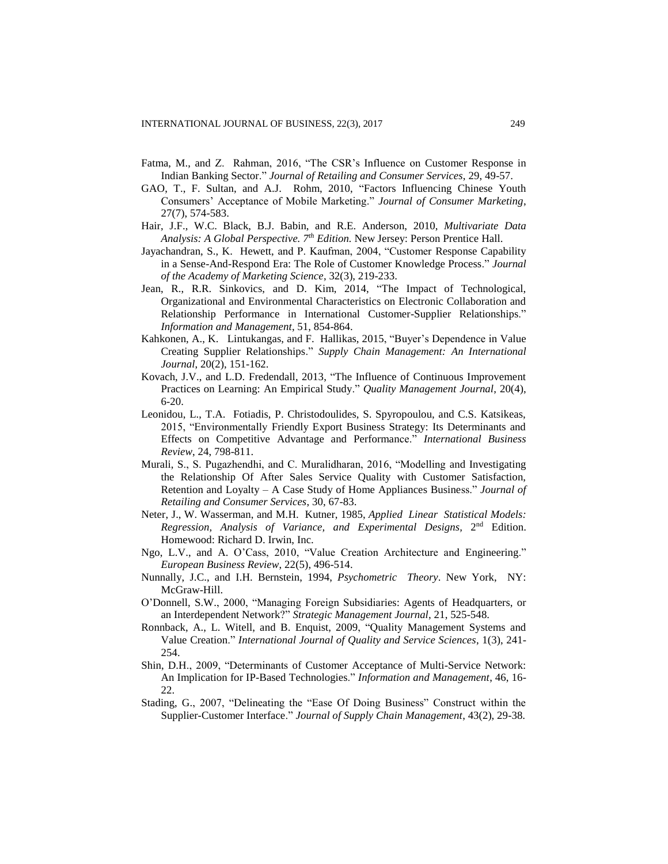- Fatma, M., and Z. Rahman, 2016, "The CSR's Influence on Customer Response in Indian Banking Sector." *Journal of Retailing and Consumer Services*, 29, 49-57.
- GAO, T., F. Sultan, and A.J. Rohm, 2010, "Factors Influencing Chinese Youth Consumers' Acceptance of Mobile Marketing." *Journal of Consumer Marketing*, 27(7), 574-583.
- Hair, J.F., W.C. Black, B.J. Babin, and R.E. Anderson, 2010, *Multivariate Data Analysis: A Global Perspective. 7 th Edition.* New Jersey: Person Prentice Hall.
- Jayachandran, S., K. Hewett, and P. Kaufman, 2004, "Customer Response Capability in a Sense-And-Respond Era: The Role of Customer Knowledge Process." *Journal of the Academy of Marketing Science*, 32(3), 219-233.
- Jean, R., R.R. Sinkovics, and D. Kim, 2014, "The Impact of Technological, Organizational and Environmental Characteristics on Electronic Collaboration and Relationship Performance in International Customer-Supplier Relationships." *Information and Management*, 51, 854-864.
- Kahkonen, A., K. Lintukangas, and F. Hallikas, 2015, "Buyer's Dependence in Value Creating Supplier Relationships." *Supply Chain Management: An International Journal*, 20(2), 151-162.
- Kovach, J.V., and L.D. Fredendall, 2013, "The Influence of Continuous Improvement Practices on Learning: An Empirical Study." *Quality Management Journal*, 20(4), 6-20.
- Leonidou, L., T.A. Fotiadis, P. Christodoulides, S. Spyropoulou, and C.S. Katsikeas, 2015, "Environmentally Friendly Export Business Strategy: Its Determinants and Effects on Competitive Advantage and Performance." *International Business Review*, 24, 798-811.
- Murali, S., S. Pugazhendhi, and C. Muralidharan, 2016, "Modelling and Investigating the Relationship Of After Sales Service Quality with Customer Satisfaction, Retention and Loyalty – A Case Study of Home Appliances Business." *Journal of Retailing and Consumer Services*, 30, 67-83.
- Neter, J., W. Wasserman, and M.H. Kutner, 1985, *Applied Linear Statistical Models: Regression, Analysis of Variance, and Experimental Designs,* 2 nd Edition. Homewood: Richard D. Irwin, Inc.
- Ngo, L.V., and A. O'Cass, 2010, "Value Creation Architecture and Engineering." *European Business Review*, 22(5), 496-514.
- Nunnally, J.C., and I.H. Bernstein, 1994, *Psychometric Theory*. New York, NY: McGraw-Hill.
- O'Donnell, S.W., 2000, "Managing Foreign Subsidiaries: Agents of Headquarters, or an Interdependent Network?" *Strategic Management Journal*, 21, 525-548.
- Ronnback, A., L. Witell, and B. Enquist, 2009, "Quality Management Systems and Value Creation." *International Journal of Quality and Service Sciences*, 1(3), 241- 254.
- Shin, D.H., 2009, "Determinants of Customer Acceptance of Multi-Service Network: An Implication for IP-Based Technologies." *Information and Management*, 46, 16- 22.
- Stading, G., 2007, "Delineating the "Ease Of Doing Business" Construct within the Supplier-Customer Interface." *Journal of Supply Chain Management*, 43(2), 29-38.